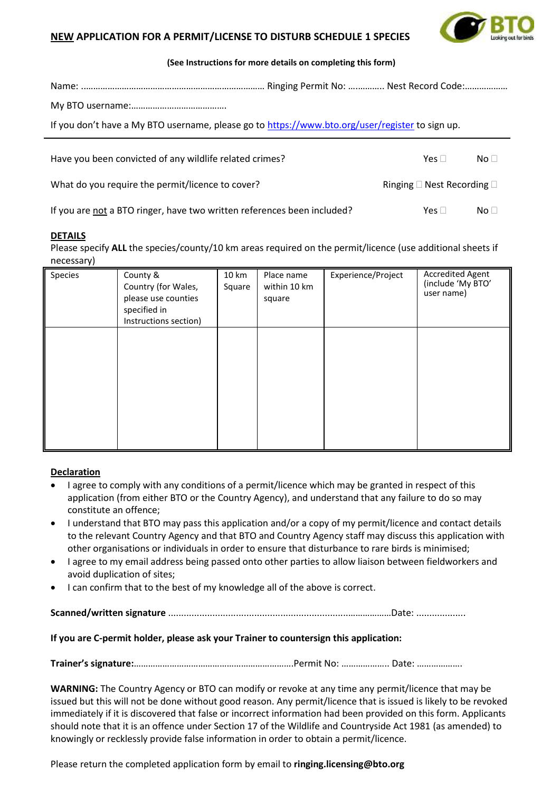



## **(See Instructions for more details on completing this form)**

| If you don't have a My BTO username, please go to https://www.bto.org/user/register to sign up. |  |                                            |                 |  |  |  |  |
|-------------------------------------------------------------------------------------------------|--|--------------------------------------------|-----------------|--|--|--|--|
| Have you been convicted of any wildlife related crimes?                                         |  | Yes $\Box$                                 | No <sub>1</sub> |  |  |  |  |
| What do you require the permit/licence to cover?                                                |  | Ringing $\square$ Nest Recording $\square$ |                 |  |  |  |  |
| If you are not a BTO ringer, have two written references been included?                         |  | Yes $\Box$                                 | No <sub>1</sub> |  |  |  |  |

# **DETAILS**

Please specify ALL the species/county/10 km areas required on the permit/licence (use additional sheets if necessary)

| Species | County &<br>Country (for Wales,<br>please use counties<br>specified in<br>Instructions section) | 10 km<br>Square | Place name<br>within 10 km<br>square | Experience/Project | <b>Accredited Agent</b><br>(include 'My BTO'<br>user name) |
|---------|-------------------------------------------------------------------------------------------------|-----------------|--------------------------------------|--------------------|------------------------------------------------------------|
|         |                                                                                                 |                 |                                      |                    |                                                            |
|         |                                                                                                 |                 |                                      |                    |                                                            |

# **Declaration**

- I agree to comply with any conditions of a permit/licence which may be granted in respect of this application (from either BTO or the Country Agency), and understand that any failure to do so may constitute an offence;
- I understand that BTO may pass this application and/or a copy of my permit/licence and contact details to the relevant Country Agency and that BTO and Country Agency staff may discuss this application with other organisations or individuals in order to ensure that disturbance to rare birds is minimised;
- I agree to my email address being passed onto other parties to allow liaison between fieldworkers and avoid duplication of sites;
- I can confirm that to the best of my knowledge all of the above is correct.

**Scanned/written signature** .....................................................................………………Date: ...................

## **If you are C-permit holder, please ask your Trainer to countersign this application:**

**Trainer's signature:**………………………………………………………….Permit No: ……………….. Date: ……………….

**WARNING:** The Country Agency or BTO can modify or revoke at any time any permit/licence that may be issued but this will not be done without good reason. Any permit/licence that is issued is likely to be revoked immediately if it is discovered that false or incorrect information had been provided on this form. Applicants should note that it is an offence under Section 17 of the Wildlife and Countryside Act 1981 (as amended) to knowingly or recklessly provide false information in order to obtain a permit/licence.

Please return the completed application form by email to **ringing.licensing@bto.org**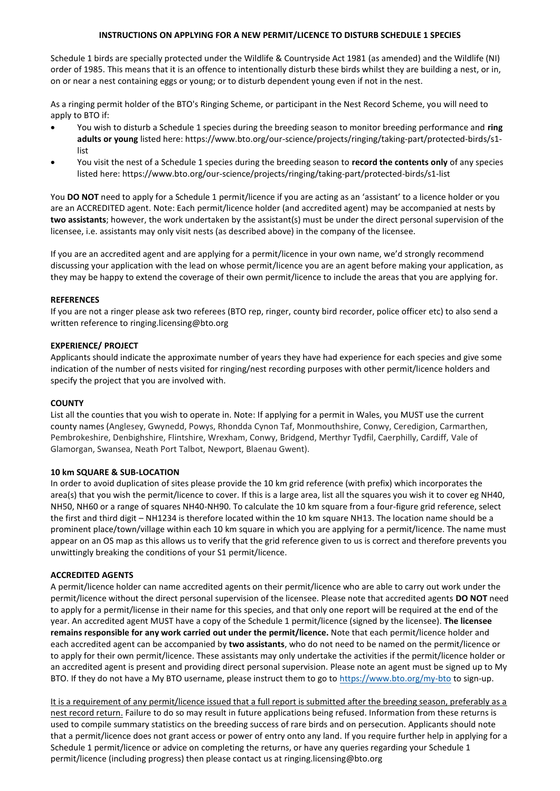#### **INSTRUCTIONS ON APPLYING FOR A NEW PERMIT/LICENCE TO DISTURB SCHEDULE 1 SPECIES**

Schedule 1 birds are specially protected under the Wildlife & Countryside Act 1981 (as amended) and the Wildlife (NI) order of 1985. This means that it is an offence to intentionally disturb these birds whilst they are building a nest, or in, on or near a nest containing eggs or young; or to disturb dependent young even if not in the nest.

As a ringing permit holder of the BTO's Ringing Scheme, or participant in the Nest Record Scheme, you will need to apply to BTO if:

- You wish to disturb a Schedule 1 species during the breeding season to monitor breeding performance and **ring adults or young** listed here: https://www.bto.org/our-science/projects/ringing/taking-part/protected-birds/s1 list
- You visit the nest of a Schedule 1 species during the breeding season to **record the contents only** of any species listed here: https://www.bto.org/our-science/projects/ringing/taking-part/protected-birds/s1-list

You **DO NOT** need to apply for a Schedule 1 permit/licence if you are acting as an 'assistant' to a licence holder or you are an ACCREDITED agent. Note: Each permit/licence holder (and accredited agent) may be accompanied at nests by **two assistants**; however, the work undertaken by the assistant(s) must be under the direct personal supervision of the licensee, i.e. assistants may only visit nests (as described above) in the company of the licensee.

If you are an accredited agent and are applying for a permit/licence in your own name, we'd strongly recommend discussing your application with the lead on whose permit/licence you are an agent before making your application, as they may be happy to extend the coverage of their own permit/licence to include the areas that you are applying for.

#### **REFERENCES**

If you are not a ringer please ask two referees (BTO rep, ringer, county bird recorder, police officer etc) to also send a written reference to ringing.licensing@bto.org

### **EXPERIENCE/ PROJECT**

Applicants should indicate the approximate number of years they have had experience for each species and give some indication of the number of nests visited for ringing/nest recording purposes with other permit/licence holders and specify the project that you are involved with.

#### **COUNTY**

List all the counties that you wish to operate in. Note: If applying for a permit in Wales, you MUST use the current county names (Anglesey, Gwynedd, Powys, Rhondda Cynon Taf, Monmouthshire, Conwy, Ceredigion, Carmarthen, Pembrokeshire, Denbighshire, Flintshire, Wrexham, Conwy, Bridgend, Merthyr Tydfil, Caerphilly, Cardiff, Vale of Glamorgan, Swansea, Neath Port Talbot, Newport, Blaenau Gwent).

### **10 km SQUARE & SUB-LOCATION**

In order to avoid duplication of sites please provide the 10 km grid reference (with prefix) which incorporates the area(s) that you wish the permit/licence to cover. If this is a large area, list all the squares you wish it to cover eg NH40, NH50, NH60 or a range of squares NH40-NH90. To calculate the 10 km square from a four-figure grid reference, select the first and third digit – NH1234 is therefore located within the 10 km square NH13. The location name should be a prominent place/town/village within each 10 km square in which you are applying for a permit/licence. The name must appear on an OS map as this allows us to verify that the grid reference given to us is correct and therefore prevents you unwittingly breaking the conditions of your S1 permit/licence.

#### **ACCREDITED AGENTS**

A permit/licence holder can name accredited agents on their permit/licence who are able to carry out work under the permit/licence without the direct personal supervision of the licensee. Please note that accredited agents **DO NOT** need to apply for a permit/license in their name for this species, and that only one report will be required at the end of the year. An accredited agent MUST have a copy of the Schedule 1 permit/licence (signed by the licensee). **The licensee remains responsible for any work carried out under the permit/licence.** Note that each permit/licence holder and each accredited agent can be accompanied by **two assistants**, who do not need to be named on the permit/licence or to apply for their own permit/licence. These assistants may only undertake the activities if the permit/licence holder or an accredited agent is present and providing direct personal supervision. Please note an agent must be signed up to My BTO. If they do not have a My BTO username, please instruct them to go to <https://www.bto.org/my-bto> to sign-up.

It is a requirement of any permit/licence issued that a full report is submitted after the breeding season, preferably as a nest record return. Failure to do so may result in future applications being refused. Information from these returns is used to compile summary statistics on the breeding success of rare birds and on persecution. Applicants should note that a permit/licence does not grant access or power of entry onto any land. If you require further help in applying for a Schedule 1 permit/licence or advice on completing the returns, or have any queries regarding your Schedule 1 permit/licence (including progress) then please contact us at ringing.licensing@bto.org